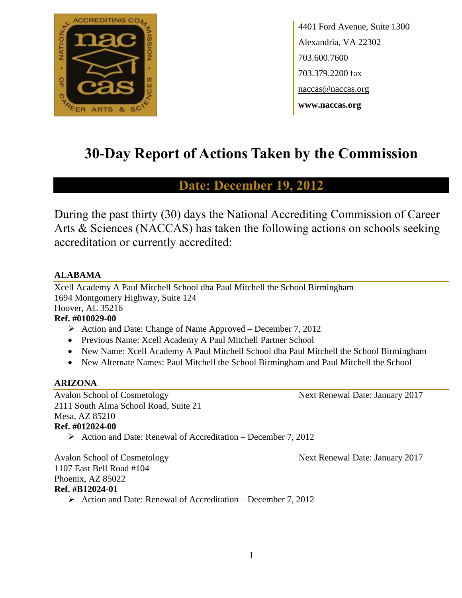

4401 Ford Avenue, Suite 1300 Alexandria, VA 22302 703.600.7600 703.379.2200 fax naccas@naccas.org **www.naccas.org**

# **30-Day Report of Actions Taken by the Commission**

# **Date: December 19, 2012**

During the past thirty (30) days the National Accrediting Commission of Career Arts & Sciences (NACCAS) has taken the following actions on schools seeking accreditation or currently accredited:

### **ALABAMA**

Xcell Academy A Paul Mitchell School dba Paul Mitchell the School Birmingham 1694 Montgomery Highway, Suite 124 Hoover, AL 35216

### **Ref. #010029-00**

- $\triangleright$  Action and Date: Change of Name Approved December 7, 2012
- Previous Name: Xcell Academy A Paul Mitchell Partner School
- New Name: Xcell Academy A Paul Mitchell School dba Paul Mitchell the School Birmingham
- New Alternate Names: Paul Mitchell the School Birmingham and Paul Mitchell the School

### **ARIZONA**

Avalon School of Cosmetology Next Renewal Date: January 2017 2111 South Alma School Road, Suite 21 Mesa, AZ 85210 **Ref. #012024-00**

 $\triangleright$  Action and Date: Renewal of Accreditation – December 7, 2012

Avalon School of Cosmetology Next Renewal Date: January 2017 1107 East Bell Road #104 Phoenix, AZ 85022 **Ref. #B12024-01**

Action and Date: Renewal of Accreditation – December 7, 2012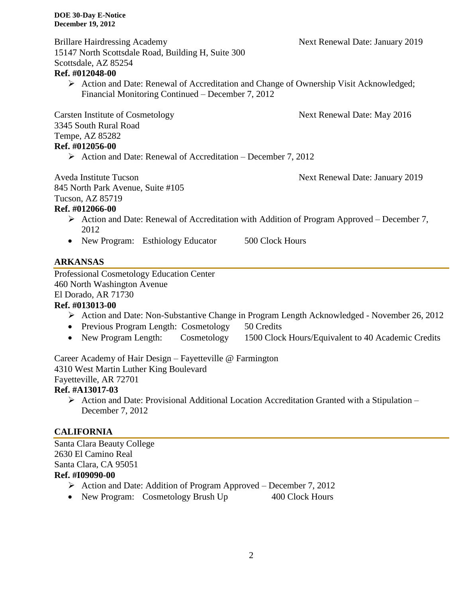Brillare Hairdressing Academy Next Renewal Date: January 2019 15147 North Scottsdale Road, Building H, Suite 300 Scottsdale, AZ 85254

### **Ref. #012048-00**

 $\triangleright$  Action and Date: Renewal of Accreditation and Change of Ownership Visit Acknowledged; Financial Monitoring Continued – December 7, 2012

Carsten Institute of Cosmetology Next Renewal Date: May 2016 3345 South Rural Road Tempe, AZ 85282

### **Ref. #012056-00**

 $\triangleright$  Action and Date: Renewal of Accreditation – December 7, 2012

Aveda Institute Tucson Next Renewal Date: January 2019

845 North Park Avenue, Suite #105

#### Tucson, AZ 85719 **Ref. #012066-00**

- $\triangleright$  Action and Date: Renewal of Accreditation with Addition of Program Approved December 7, 2012
- New Program: Esthiology Educator 500 Clock Hours

## **ARKANSAS**

Professional Cosmetology Education Center 460 North Washington Avenue El Dorado, AR 71730

### **Ref. #013013-00**

- Action and Date: Non-Substantive Change in Program Length Acknowledged November 26, 2012
- Previous Program Length: Cosmetology 50 Credits
- New Program Length: Cosmetology 1500 Clock Hours/Equivalent to 40 Academic Credits

Career Academy of Hair Design – Fayetteville @ Farmington 4310 West Martin Luther King Boulevard Fayetteville, AR 72701

### **Ref. #A13017-03**

 $\triangleright$  Action and Date: Provisional Additional Location Accreditation Granted with a Stipulation – December 7, 2012

### **CALIFORNIA**

Santa Clara Beauty College 2630 El Camino Real Santa Clara, CA 95051 **Ref. #I09090-00**  $\triangleright$  Action and Date: Addition of Program Approved – December 7, 2012

• New Program: Cosmetology Brush Up 400 Clock Hours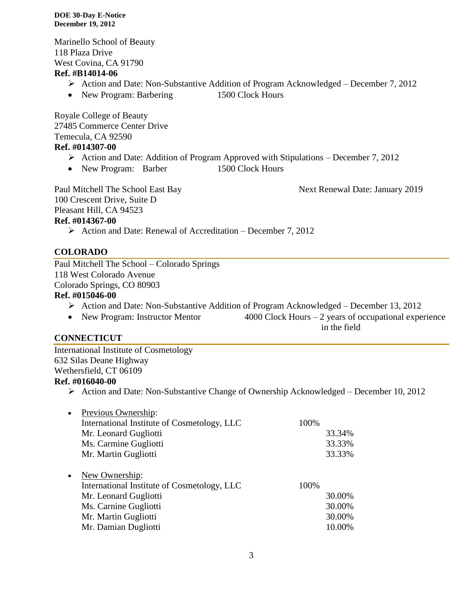Marinello School of Beauty 118 Plaza Drive West Covina, CA 91790

#### **Ref. #B14014-06**

- Action and Date: Non-Substantive Addition of Program Acknowledged December 7, 2012
- New Program: Barbering 1500 Clock Hours

Royale College of Beauty 27485 Commerce Center Drive Temecula, CA 92590 **Ref. #014307-00**

- $\triangleright$  Action and Date: Addition of Program Approved with Stipulations December 7, 2012
- New Program: Barber 1500 Clock Hours

100 Crescent Drive, Suite D Pleasant Hill, CA 94523 **Ref. #014367-00**

Paul Mitchell The School East Bay Next Renewal Date: January 2019

 $\triangleright$  Action and Date: Renewal of Accreditation – December 7, 2012

### **COLORADO**

Paul Mitchell The School – Colorado Springs 118 West Colorado Avenue Colorado Springs, CO 80903 **Ref. #015046-00**  $\triangleright$  Action and Date: Non-Substantive Addition of Program Acknowledged – December 13, 2012

- New Program: Instructor Mentor 4000 Clock Hours 2 years of occupational experience
	- in the field

### **CONNECTICUT**

International Institute of Cosmetology 632 Silas Deane Highway Wethersfield, CT 06109 **Ref. #016040-00**

 $\triangleright$  Action and Date: Non-Substantive Change of Ownership Acknowledged – December 10, 2012

| $\bullet$ | Previous Ownership:                         |      |        |
|-----------|---------------------------------------------|------|--------|
|           | International Institute of Cosmetology, LLC | 100% |        |
|           | Mr. Leonard Gugliotti                       |      | 33.34% |
|           | Ms. Carmine Gugliotti                       |      | 33.33% |
|           | Mr. Martin Gugliotti                        |      | 33.33% |
|           |                                             |      |        |
| $\bullet$ | New Ownership:                              |      |        |
|           | International Institute of Cosmetology, LLC | 100% |        |
|           | Mr. Leonard Gugliotti                       |      | 30.00% |
|           | Ms. Carnine Gugliotti                       |      | 30.00% |
|           | Mr. Martin Gugliotti                        |      | 30.00% |
|           | Mr. Damian Dugliotti                        |      | 10.00% |
|           |                                             |      |        |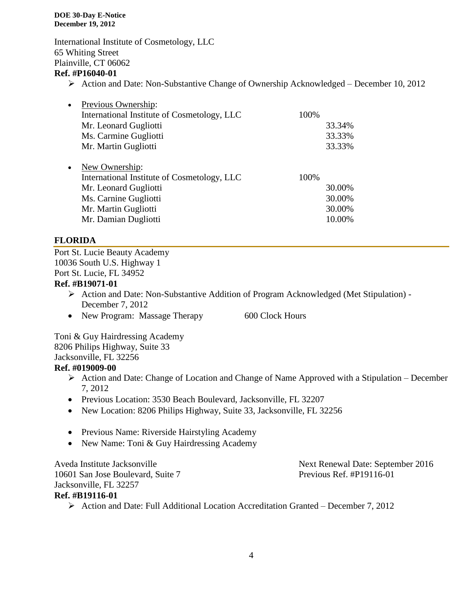International Institute of Cosmetology, LLC 65 Whiting Street Plainville, CT 06062

### **Ref. #P16040-01**

 $\triangleright$  Action and Date: Non-Substantive Change of Ownership Acknowledged – December 10, 2012

| $\bullet$ | Previous Ownership:                         |      |        |
|-----------|---------------------------------------------|------|--------|
|           | International Institute of Cosmetology, LLC | 100% |        |
|           | Mr. Leonard Gugliotti                       |      | 33.34% |
|           | Ms. Carmine Gugliotti                       |      | 33.33% |
|           | Mr. Martin Gugliotti                        |      | 33.33% |
| $\bullet$ | New Ownership:                              |      |        |
|           | International Institute of Cosmetology, LLC | 100% |        |
|           | Mr. Leonard Gugliotti                       |      | 30.00% |
|           | Ms. Carnine Gugliotti                       |      | 30.00% |
|           | Mr. Martin Gugliotti                        |      | 30.00% |
|           | Mr. Damian Dugliotti                        |      | 10.00% |

#### **FLORIDA**

Port St. Lucie Beauty Academy 10036 South U.S. Highway 1 Port St. Lucie, FL 34952 **Ref. #B19071-01**

- Action and Date: Non-Substantive Addition of Program Acknowledged (Met Stipulation) December 7, 2012
- New Program: Massage Therapy 600 Clock Hours

Toni & Guy Hairdressing Academy 8206 Philips Highway, Suite 33 Jacksonville, FL 32256

### **Ref. #019009-00**

- $\triangleright$  Action and Date: Change of Location and Change of Name Approved with a Stipulation December 7, 2012
- Previous Location: 3530 Beach Boulevard, Jacksonville, FL 32207
- New Location: 8206 Philips Highway, Suite 33, Jacksonville, FL 32256
- Previous Name: Riverside Hairstyling Academy
- New Name: Toni & Guy Hairdressing Academy

10601 San Jose Boulevard, Suite 7 Previous Ref. #P19116-01 Jacksonville, FL 32257 **Ref. #B19116-01**

Aveda Institute Jacksonville Next Renewal Date: September 2016

Action and Date: Full Additional Location Accreditation Granted – December 7, 2012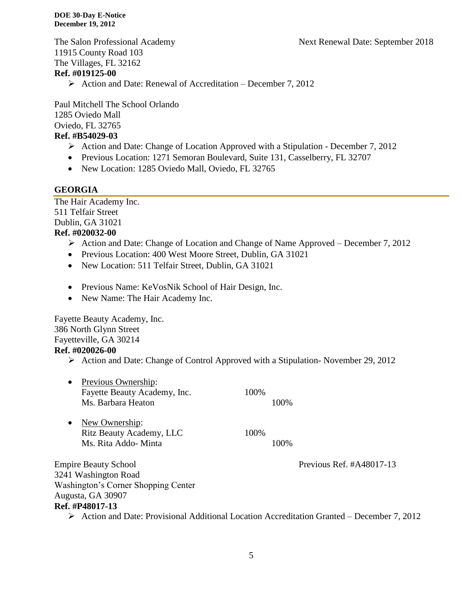The Salon Professional Academy Next Renewal Date: September 2018

11915 County Road 103 The Villages, FL 32162 **Ref. #019125-00**

 $\triangleright$  Action and Date: Renewal of Accreditation – December 7, 2012

Paul Mitchell The School Orlando 1285 Oviedo Mall Oviedo, FL 32765 **Ref. #B54029-03**

- $\triangleright$  Action and Date: Change of Location Approved with a Stipulation December 7, 2012
- Previous Location: 1271 Semoran Boulevard, Suite 131, Casselberry, FL 32707
- New Location: 1285 Oviedo Mall, Oviedo, FL 32765

#### **GEORGIA**

The Hair Academy Inc. 511 Telfair Street Dublin, GA 31021

### **Ref. #020032-00**

- $\triangleright$  Action and Date: Change of Location and Change of Name Approved December 7, 2012
- Previous Location: 400 West Moore Street, Dublin, GA 31021
- New Location: 511 Telfair Street, Dublin, GA 31021
- Previous Name: KeVosNik School of Hair Design, Inc.
- New Name: The Hair Academy Inc.

Fayette Beauty Academy, Inc. 386 North Glynn Street Fayetteville, GA 30214 **Ref. #020026-00**

 $\triangleright$  Action and Date: Change of Control Approved with a Stipulation-November 29, 2012

| • Previous Ownership:        |      |
|------------------------------|------|
| Fayette Beauty Academy, Inc. | 100% |
| Ms. Barbara Heaton           | 100% |
|                              |      |

• New Ownership: Ritz Beauty Academy, LLC 100% Ms. Rita Addo- Minta 100%

Empire Beauty School Previous Ref. #A48017-13 3241 Washington Road Washington's Corner Shopping Center Augusta, GA 30907 **Ref. #P48017-13**

Action and Date: Provisional Additional Location Accreditation Granted – December 7, 2012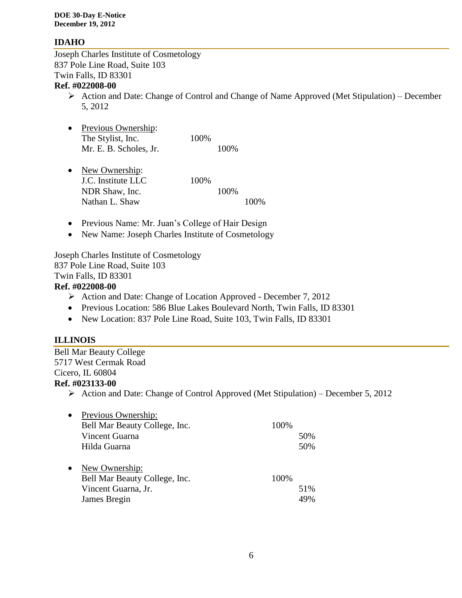### **IDAHO**

Joseph Charles Institute of Cosmetology 837 Pole Line Road, Suite 103 Twin Falls, ID 83301

### **Ref. #022008-00**

- $\triangleright$  Action and Date: Change of Control and Change of Name Approved (Met Stipulation) December 5, 2012
- Previous Ownership: The Stylist, Inc. 100% Mr. E. B. Scholes, Jr. 100%
- New Ownership: J.C. Institute LLC 100% NDR Shaw, Inc. 100% Nathan L. Shaw 100%
- Previous Name: Mr. Juan's College of Hair Design
- New Name: Joseph Charles Institute of Cosmetology

Joseph Charles Institute of Cosmetology 837 Pole Line Road, Suite 103 Twin Falls, ID 83301

### **Ref. #022008-00**

- Action and Date: Change of Location Approved December 7, 2012
- Previous Location: 586 Blue Lakes Boulevard North, Twin Falls, ID 83301
- New Location: 837 Pole Line Road, Suite 103, Twin Falls, ID 83301

### **ILLINOIS**

#### Bell Mar Beauty College 5717 West Cermak Road Cicero, IL 60804

#### **Ref. #023133-00**

 $\triangleright$  Action and Date: Change of Control Approved (Met Stipulation) – December 5, 2012

| 50% |
|-----|
| 50% |
|     |
|     |
|     |
| 51% |
| 49% |
|     |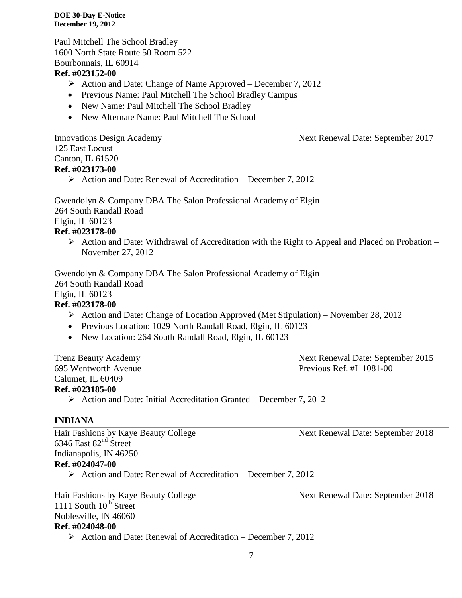Paul Mitchell The School Bradley 1600 North State Route 50 Room 522 Bourbonnais, IL 60914

### **Ref. #023152-00**

- $\triangleright$  Action and Date: Change of Name Approved December 7, 2012
- Previous Name: Paul Mitchell The School Bradley Campus
- New Name: Paul Mitchell The School Bradley
- New Alternate Name: Paul Mitchell The School

125 East Locust Canton, IL 61520

# **Ref. #023173-00**

 $\triangleright$  Action and Date: Renewal of Accreditation – December 7, 2012

Gwendolyn & Company DBA The Salon Professional Academy of Elgin 264 South Randall Road Elgin, IL 60123

#### **Ref. #023178-00**

 $\triangleright$  Action and Date: Withdrawal of Accreditation with the Right to Appeal and Placed on Probation – November 27, 2012

Gwendolyn & Company DBA The Salon Professional Academy of Elgin 264 South Randall Road

# Elgin, IL 60123

### **Ref. #023178-00**

- Action and Date: Change of Location Approved (Met Stipulation) November 28, 2012
- Previous Location: 1029 North Randall Road, Elgin, IL 60123
- New Location: 264 South Randall Road, Elgin, IL 60123

Calumet, IL 60409 **Ref. #023185-00**

Trenz Beauty Academy **Next Renewal Date: September 2015** 695 Wentworth Avenue Previous Ref. #I11081-00

 $\triangleright$  Action and Date: Initial Accreditation Granted – December 7, 2012

#### **INDIANA**

Hair Fashions by Kaye Beauty College Next Renewal Date: September 2018 6346 East 82nd Street Indianapolis, IN 46250 **Ref. #024047-00**  $\triangleright$  Action and Date: Renewal of Accreditation – December 7, 2012

Hair Fashions by Kaye Beauty College Next Renewal Date: September 2018 1111 South  $10^{th}$  Street Noblesville, IN 46060 **Ref. #024048-00**

 $\triangleright$  Action and Date: Renewal of Accreditation – December 7, 2012

Innovations Design Academy Next Renewal Date: September 2017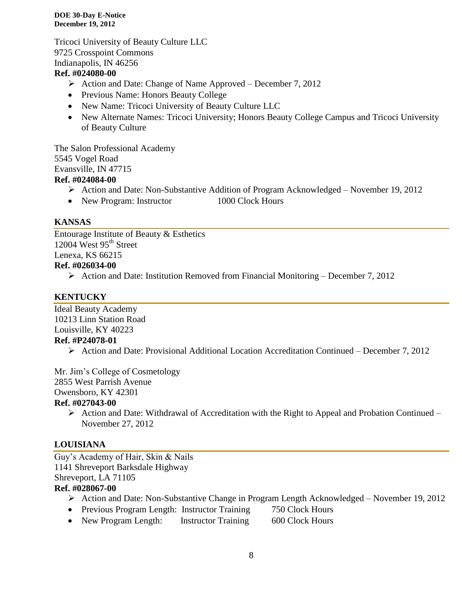Tricoci University of Beauty Culture LLC 9725 Crosspoint Commons Indianapolis, IN 46256

#### **Ref. #024080-00**

- $\triangleright$  Action and Date: Change of Name Approved December 7, 2012
- Previous Name: Honors Beauty College
- New Name: Tricoci University of Beauty Culture LLC
- New Alternate Names: Tricoci University; Honors Beauty College Campus and Tricoci University of Beauty Culture

The Salon Professional Academy 5545 Vogel Road Evansville, IN 47715

### **Ref. #024084-00**

- Action and Date: Non-Substantive Addition of Program Acknowledged November 19, 2012
- New Program: Instructor 1000 Clock Hours

#### **KANSAS**

Entourage Institute of Beauty & Esthetics 12004 West 95<sup>th</sup> Street Lenexa, KS 66215 **Ref. #026034-00**

 $\triangleright$  Action and Date: Institution Removed from Financial Monitoring – December 7, 2012

### **KENTUCKY**

Ideal Beauty Academy 10213 Linn Station Road Louisville, KY 40223 **Ref. #P24078-01**

 $\triangleright$  Action and Date: Provisional Additional Location Accreditation Continued – December 7, 2012

Mr. Jim's College of Cosmetology

2855 West Parrish Avenue

Owensboro, KY 42301

#### **Ref. #027043-00**

 $\triangleright$  Action and Date: Withdrawal of Accreditation with the Right to Appeal and Probation Continued – November 27, 2012

### **LOUISIANA**

Guy's Academy of Hair, Skin & Nails 1141 Shreveport Barksdale Highway Shreveport, LA 71105 **Ref. #028067-00**

- Action and Date: Non-Substantive Change in Program Length Acknowledged November 19, 2012
- Previous Program Length: Instructor Training 750 Clock Hours
- New Program Length: Instructor Training 600 Clock Hours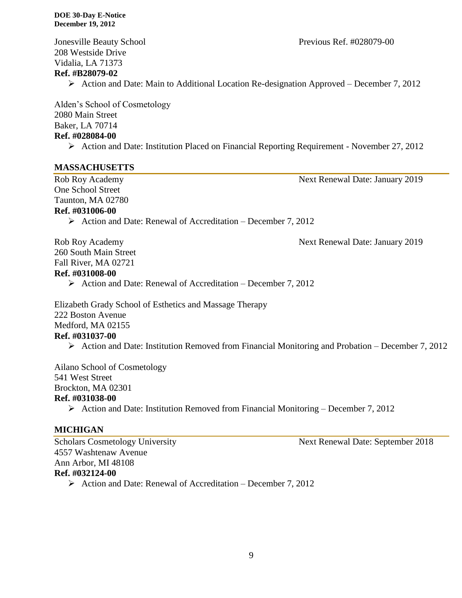208 Westside Drive Vidalia, LA 71373 **Ref. #B28079-02**

 $\triangleright$  Action and Date: Main to Additional Location Re-designation Approved – December 7, 2012

Alden's School of Cosmetology 2080 Main Street Baker, LA 70714 **Ref. #028084-00**

Action and Date: Institution Placed on Financial Reporting Requirement - November 27, 2012

#### **MASSACHUSETTS**

Rob Roy Academy Next Renewal Date: January 2019

One School Street Taunton, MA 02780

#### **Ref. #031006-00**

 $\triangleright$  Action and Date: Renewal of Accreditation – December 7, 2012

260 South Main Street Fall River, MA 02721

#### **Ref. #031008-00**

 $\triangleright$  Action and Date: Renewal of Accreditation – December 7, 2012

Elizabeth Grady School of Esthetics and Massage Therapy 222 Boston Avenue Medford, MA 02155 **Ref. #031037-00**

Action and Date: Institution Removed from Financial Monitoring and Probation – December 7, 2012

Ailano School of Cosmetology 541 West Street Brockton, MA 02301 **Ref. #031038-00**

Action and Date: Institution Removed from Financial Monitoring – December 7, 2012

### **MICHIGAN**

Scholars Cosmetology University Next Renewal Date: September 2018 4557 Washtenaw Avenue Ann Arbor, MI 48108 **Ref. #032124-00**  $\triangleright$  Action and Date: Renewal of Accreditation – December 7, 2012

Rob Roy Academy **Next Renewal Date: January 2019** 

Jonesville Beauty School Previous Ref. #028079-00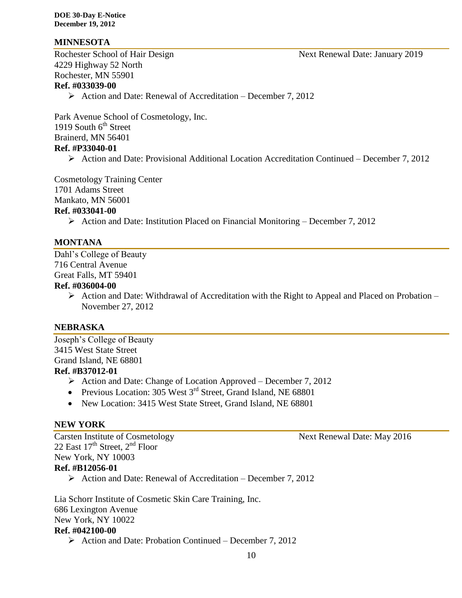#### **MINNESOTA**

4229 Highway 52 North Rochester, MN 55901 **Ref. #033039-00**

 $\triangleright$  Action and Date: Renewal of Accreditation – December 7, 2012

Park Avenue School of Cosmetology, Inc. 1919 South  $6<sup>th</sup>$  Street Brainerd, MN 56401 **Ref. #P33040-01**

Action and Date: Provisional Additional Location Accreditation Continued – December 7, 2012

Cosmetology Training Center

1701 Adams Street

Mankato, MN 56001

#### **Ref. #033041-00**

Action and Date: Institution Placed on Financial Monitoring – December 7, 2012

#### **MONTANA**

Dahl's College of Beauty 716 Central Avenue Great Falls, MT 59401

#### **Ref. #036004-00**

 $\triangleright$  Action and Date: Withdrawal of Accreditation with the Right to Appeal and Placed on Probation – November 27, 2012

#### **NEBRASKA**

Joseph's College of Beauty 3415 West State Street Grand Island, NE 68801 **Ref. #B37012-01**

- $\triangleright$  Action and Date: Change of Location Approved December 7, 2012
- Previous Location: 305 West  $3<sup>rd</sup>$  Street, Grand Island, NE 68801
- New Location: 3415 West State Street, Grand Island, NE 68801

#### **NEW YORK**

Carsten Institute of Cosmetology Next Renewal Date: May 2016 22 East  $17<sup>th</sup>$  Street,  $2<sup>nd</sup>$  Floor New York, NY 10003 **Ref. #B12056-01**

 $\triangleright$  Action and Date: Renewal of Accreditation – December 7, 2012

Lia Schorr Institute of Cosmetic Skin Care Training, Inc. 686 Lexington Avenue New York, NY 10022 **Ref. #042100-00**

 $\triangleright$  Action and Date: Probation Continued – December 7, 2012

Rochester School of Hair Design Next Renewal Date: January 2019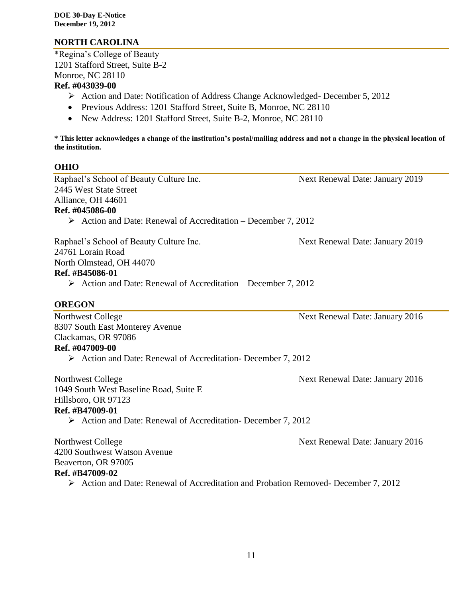### **NORTH CAROLINA**

\*Regina's College of Beauty 1201 Stafford Street, Suite B-2 Monroe, NC 28110

#### **Ref. #043039-00**

- Action and Date: Notification of Address Change Acknowledged- December 5, 2012
- Previous Address: 1201 Stafford Street, Suite B, Monroe, NC 28110
- New Address: 1201 Stafford Street, Suite B-2, Monroe, NC 28110

**\* This letter acknowledges a change of the institution's postal/mailing address and not a change in the physical location of the institution.**

### **OHIO**

Raphael's School of Beauty Culture Inc. Next Renewal Date: January 2019 2445 West State Street Alliance, OH 44601

#### **Ref. #045086-00**

 $\triangleright$  Action and Date: Renewal of Accreditation – December 7, 2012

Raphael's School of Beauty Culture Inc. Next Renewal Date: January 2019

24761 Lorain Road

North Olmstead, OH 44070

#### **Ref. #B45086-01**

 $\triangleright$  Action and Date: Renewal of Accreditation – December 7, 2012

### **OREGON**

8307 South East Monterey Avenue Clackamas, OR 97086 **Ref. #047009-00**

 $\triangleright$  Action and Date: Renewal of Accreditation- December 7, 2012

Northwest College Next Renewal Date: January 2016 1049 South West Baseline Road, Suite E Hillsboro, OR 97123

### **Ref. #B47009-01**

Action and Date: Renewal of Accreditation- December 7, 2012

Northwest College Next Renewal Date: January 2016 4200 Southwest Watson Avenue Beaverton, OR 97005 **Ref. #B47009-02** Action and Date: Renewal of Accreditation and Probation Removed- December 7, 2012

11

Northwest College Next Renewal Date: January 2016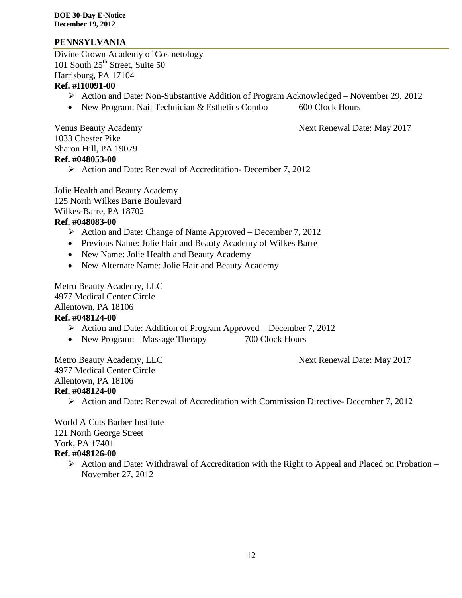### **PENNSYLVANIA**

Divine Crown Academy of Cosmetology 101 South  $25<sup>th</sup>$  Street, Suite 50 Harrisburg, PA 17104 **Ref. #I10091-00**

### Action and Date: Non-Substantive Addition of Program Acknowledged – November 29, 2012

• New Program: Nail Technician & Esthetics Combo 600 Clock Hours

Venus Beauty Academy **Next Renewal Date: May 2017** 

1033 Chester Pike Sharon Hill, PA 19079 **Ref. #048053-00**

 $\triangleright$  Action and Date: Renewal of Accreditation- December 7, 2012

Jolie Health and Beauty Academy 125 North Wilkes Barre Boulevard Wilkes-Barre, PA 18702 **Ref. #048083-00**

- $\triangleright$  Action and Date: Change of Name Approved December 7, 2012
- Previous Name: Jolie Hair and Beauty Academy of Wilkes Barre
- New Name: Jolie Health and Beauty Academy
- New Alternate Name: Jolie Hair and Beauty Academy

Metro Beauty Academy, LLC 4977 Medical Center Circle Allentown, PA 18106 **Ref. #048124-00**

- $\triangleright$  Action and Date: Addition of Program Approved December 7, 2012
- New Program: Massage Therapy 700 Clock Hours

Metro Beauty Academy, LLC Next Renewal Date: May 2017 4977 Medical Center Circle Allentown, PA 18106 **Ref. #048124-00**

- 
- Action and Date: Renewal of Accreditation with Commission Directive- December 7, 2012

World A Cuts Barber Institute 121 North George Street York, PA 17401 **Ref. #048126-00**

> $\triangleright$  Action and Date: Withdrawal of Accreditation with the Right to Appeal and Placed on Probation – November 27, 2012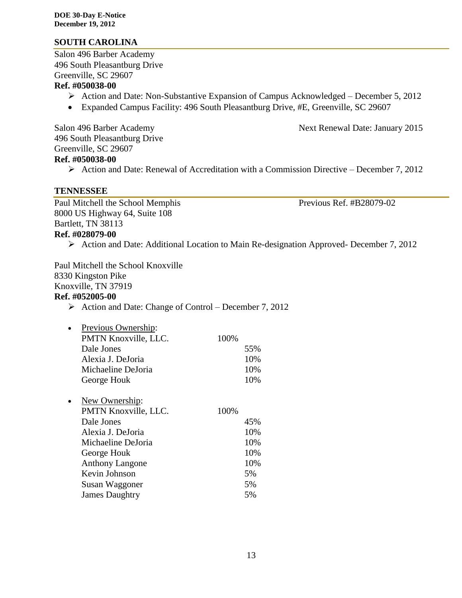#### **SOUTH CAROLINA**

Salon 496 Barber Academy 496 South Pleasantburg Drive Greenville, SC 29607

#### **Ref. #050038-00**

- $\triangleright$  Action and Date: Non-Substantive Expansion of Campus Acknowledged December 5, 2012
- Expanded Campus Facility: 496 South Pleasantburg Drive, #E, Greenville, SC 29607

Salon 496 Barber Academy Next Renewal Date: January 2015 496 South Pleasantburg Drive Greenville, SC 29607 **Ref. #050038-00**

 $\triangleright$  Action and Date: Renewal of Accreditation with a Commission Directive – December 7, 2012

#### **TENNESSEE**

Paul Mitchell the School Memphis Previous Ref. #B28079-02 8000 US Highway 64, Suite 108 Bartlett, TN 38113 **Ref. #028079-00**

Action and Date: Additional Location to Main Re-designation Approved- December 7, 2012

Paul Mitchell the School Knoxville 8330 Kingston Pike Knoxville, TN 37919 **Ref. #052005-00**

 $\triangleright$  Action and Date: Change of Control – December 7, 2012

| $\bullet$ | Previous Ownership:  |      |     |
|-----------|----------------------|------|-----|
|           | PMTN Knoxville, LLC. | 100% |     |
|           | Dale Jones           |      | 55% |
|           | Alexia J. DeJoria    |      | 10% |
|           | Michaeline DeJoria   |      | 10% |
|           | George Houk          |      | 10% |
|           |                      |      |     |

| $\bullet$ | New Ownership:         |      |
|-----------|------------------------|------|
|           | PMTN Knoxville, LLC.   | 100% |
|           | Dale Jones             | 45%  |
|           | Alexia J. DeJoria      | 10%  |
|           | Michaeline DeJoria     | 10%  |
|           | George Houk            | 10%  |
|           | <b>Anthony Langone</b> | 10%  |
|           | Kevin Johnson          | 5%   |
|           | Susan Waggoner         | 5%   |
|           | <b>James Daughtry</b>  | 5%   |
|           |                        |      |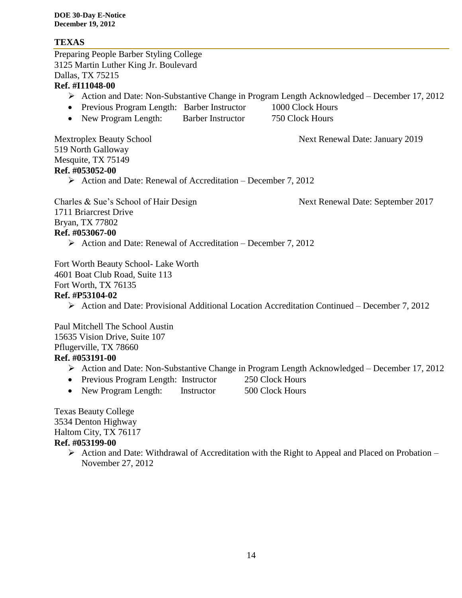### **TEXAS**

Preparing People Barber Styling College 3125 Martin Luther King Jr. Boulevard Dallas, TX 75215 **Ref. #I11048-00** Action and Date: Non-Substantive Change in Program Length Acknowledged – December 17, 2012 • Previous Program Length: Barber Instructor 1000 Clock Hours • New Program Length: Barber Instructor 750 Clock Hours Mextroplex Beauty School Next Renewal Date: January 2019 519 North Galloway Mesquite, TX 75149 **Ref. #053052-00**  $\triangleright$  Action and Date: Renewal of Accreditation – December 7, 2012 Charles & Sue's School of Hair Design Next Renewal Date: September 2017 1711 Briarcrest Drive Bryan, TX 77802 **Ref. #053067-00**  $\triangleright$  Action and Date: Renewal of Accreditation – December 7, 2012 Fort Worth Beauty School- Lake Worth 4601 Boat Club Road, Suite 113 Fort Worth, TX 76135 **Ref. #P53104-02** Action and Date: Provisional Additional Location Accreditation Continued – December 7, 2012 Paul Mitchell The School Austin 15635 Vision Drive, Suite 107 Pflugerville, TX 78660 **Ref. #053191-00** Action and Date: Non-Substantive Change in Program Length Acknowledged – December 17, 2012 • Previous Program Length: Instructor 250 Clock Hours • New Program Length: Instructor 500 Clock Hours

Texas Beauty College 3534 Denton Highway Haltom City, TX 76117 **Ref. #053199-00**

 $\triangleright$  Action and Date: Withdrawal of Accreditation with the Right to Appeal and Placed on Probation – November 27, 2012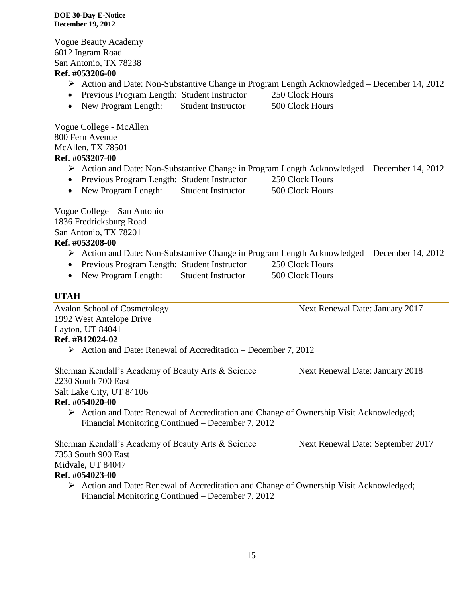Vogue Beauty Academy 6012 Ingram Road San Antonio, TX 78238 **Ref. #053206-00**

- Action and Date: Non-Substantive Change in Program Length Acknowledged December 14, 2012
- Previous Program Length: Student Instructor 250 Clock Hours
- New Program Length: Student Instructor 500 Clock Hours

Vogue College - McAllen 800 Fern Avenue McAllen, TX 78501 **Ref. #053207-00**

- Action and Date: Non-Substantive Change in Program Length Acknowledged December 14, 2012
- Previous Program Length: Student Instructor 250 Clock Hours
- New Program Length: Student Instructor 500 Clock Hours

Vogue College – San Antonio 1836 Fredricksburg Road San Antonio, TX 78201

# **Ref. #053208-00**

- Action and Date: Non-Substantive Change in Program Length Acknowledged December 14, 2012
- Previous Program Length: Student Instructor 250 Clock Hours
- New Program Length: Student Instructor 500 Clock Hours

### **UTAH**

Avalon School of Cosmetology Next Renewal Date: January 2017 1992 West Antelope Drive Layton, UT 84041 **Ref. #B12024-02** Action and Date: Renewal of Accreditation – December 7, 2012 Sherman Kendall's Academy of Beauty Arts & Science Next Renewal Date: January 2018 2230 South 700 East Salt Lake City, UT 84106 **Ref. #054020-00** Action and Date: Renewal of Accreditation and Change of Ownership Visit Acknowledged; Financial Monitoring Continued – December 7, 2012 Sherman Kendall's Academy of Beauty Arts & Science Next Renewal Date: September 2017

7353 South 900 East

Midvale, UT 84047

### **Ref. #054023-00**

 Action and Date: Renewal of Accreditation and Change of Ownership Visit Acknowledged; Financial Monitoring Continued – December 7, 2012

- 
- 

- 
-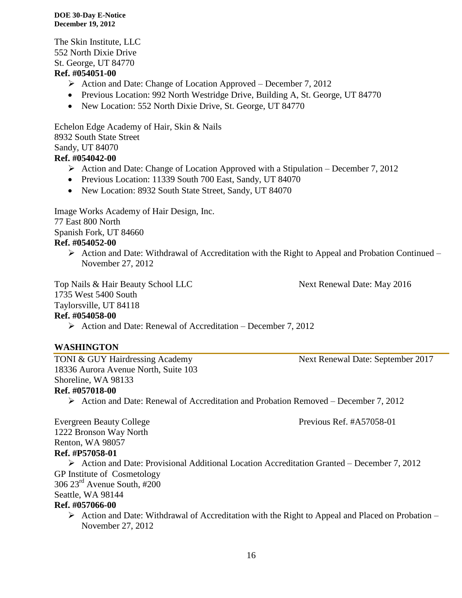The Skin Institute, LLC 552 North Dixie Drive St. George, UT 84770

### **Ref. #054051-00**

- $\triangleright$  Action and Date: Change of Location Approved December 7, 2012
- Previous Location: 992 North Westridge Drive, Building A, St. George, UT 84770
- New Location: 552 North Dixie Drive, St. George, UT 84770

Echelon Edge Academy of Hair, Skin & Nails 8932 South State Street Sandy, UT 84070

# **Ref. #054042-00**

- Action and Date: Change of Location Approved with a Stipulation December 7, 2012
- Previous Location: 11339 South 700 East, Sandy, UT 84070
- New Location: 8932 South State Street, Sandy, UT 84070

Image Works Academy of Hair Design, Inc. 77 East 800 North Spanish Fork, UT 84660

### **Ref. #054052-00**

 $\triangleright$  Action and Date: Withdrawal of Accreditation with the Right to Appeal and Probation Continued – November 27, 2012

Top Nails & Hair Beauty School LLC Next Renewal Date: May 2016 1735 West 5400 South Taylorsville, UT 84118

### **Ref. #054058-00**

 $\triangleright$  Action and Date: Renewal of Accreditation – December 7, 2012

### **WASHINGTON**

TONI & GUY Hairdressing Academy Next Renewal Date: September 2017 18336 Aurora Avenue North, Suite 103 Shoreline, WA 98133

**Ref. #057018-00**

Action and Date: Renewal of Accreditation and Probation Removed – December 7, 2012

Evergreen Beauty College Previous Ref. #A57058-01 1222 Bronson Way North Renton, WA 98057 **Ref. #P57058-01**

 Action and Date: Provisional Additional Location Accreditation Granted – December 7, 2012 GP Institute of Cosmetology 306 23rd Avenue South, #200 Seattle, WA 98144

#### **Ref. #057066-00**

 $\triangleright$  Action and Date: Withdrawal of Accreditation with the Right to Appeal and Placed on Probation – November 27, 2012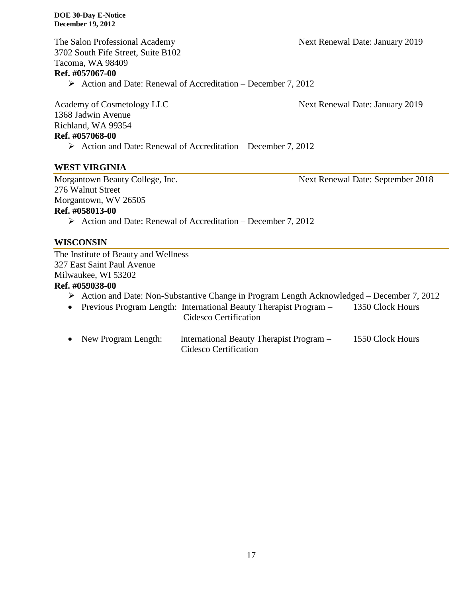The Salon Professional Academy Next Renewal Date: January 2019 3702 South Fife Street, Suite B102 Tacoma, WA 98409

#### **Ref. #057067-00**

 $\triangleright$  Action and Date: Renewal of Accreditation – December 7, 2012

1368 Jadwin Avenue Richland, WA 99354 **Ref. #057068-00**

Academy of Cosmetology LLC Next Renewal Date: January 2019

 $\triangleright$  Action and Date: Renewal of Accreditation – December 7, 2012

#### **WEST VIRGINIA**

Morgantown Beauty College, Inc. Next Renewal Date: September 2018

276 Walnut Street

Morgantown, WV 26505

### **Ref. #058013-00**

 $\triangleright$  Action and Date: Renewal of Accreditation – December 7, 2012

#### **WISCONSIN**

The Institute of Beauty and Wellness 327 East Saint Paul Avenue Milwaukee, WI 53202

#### **Ref. #059038-00**

- Action and Date: Non-Substantive Change in Program Length Acknowledged December 7, 2012
- Previous Program Length: International Beauty Therapist Program 1350 Clock Hours Cidesco Certification
- New Program Length: International Beauty Therapist Program 1550 Clock Hours Cidesco Certification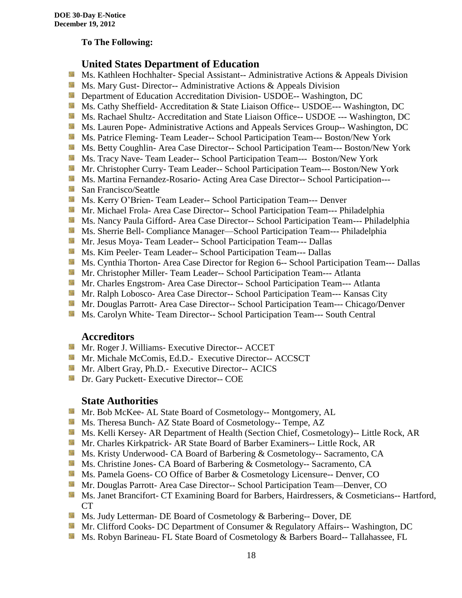#### **To The Following:**

### **United States Department of Education**

- **Ms. Kathleen Hochhalter- Special Assistant-- Administrative Actions & Appeals Division**
- **MS. Mary Gust- Director-- Administrative Actions & Appeals Division**
- **Department of Education Accreditation Division- USDOE-- Washington, DC**
- Ms. Cathy Sheffield- Accreditation & State Liaison Office-- USDOE--- Washington, DC
- **MS. Rachael Shultz- Accreditation and State Liaison Office-- USDOE --- Washington, DC**
- Ms. Lauren Pope- Administrative Actions and Appeals Services Group-- Washington, DC
- Ms. Patrice Fleming-Team Leader-- School Participation Team--- Boston/New York
- **MS. Betty Coughlin- Area Case Director-- School Participation Team--- Boston/New York**
- **MS. Tracy Nave-Team Leader-- School Participation Team--- Boston/New York**
- **Mr.** Christopher Curry- Team Leader-- School Participation Team--- Boston/New York
- Ms. Martina Fernandez-Rosario- Acting Area Case Director-- School Participation---
- **San Francisco/Seattle**
- **MS. Kerry O'Brien- Team Leader-- School Participation Team--- Denver**
- **Mr. Michael Frola- Area Case Director-- School Participation Team--- Philadelphia**
- **MS. Nancy Paula Gifford- Area Case Director-- School Participation Team--- Philadelphia**
- Ms. Sherrie Bell- Compliance Manager—School Participation Team--- Philadelphia
- **Mr. Jesus Moya- Team Leader-- School Participation Team--- Dallas**
- **MS. Kim Peeler- Team Leader-- School Participation Team--- Dallas**
- **Ms. Cynthia Thorton- Area Case Director for Region 6-- School Participation Team--- Dallas**
- **Mr.** Christopher Miller-Team Leader-- School Participation Team--- Atlanta
- **Mr.** Charles Engstrom- Area Case Director-- School Participation Team--- Atlanta
- Mr. Ralph Lobosco- Area Case Director-- School Participation Team--- Kansas City
- **Mr. Douglas Parrott- Area Case Director-- School Participation Team--- Chicago/Denver**
- **MS. Carolyn White-Team Director-- School Participation Team--- South Central**

#### **Accreditors**

- **Mr. Roger J. Williams- Executive Director-- ACCET**
- Mr. Michale McComis, Ed.D.- Executive Director-- ACCSCT
- **Mr.** Albert Gray, Ph.D.- Executive Director-- ACICS
- **Dr.** Gary Puckett- Executive Director-- COE

#### **State Authorities**

- Mr. Bob McKee- AL State Board of Cosmetology-- Montgomery, AL
- Ms. Theresa Bunch- AZ State Board of Cosmetology-- Tempe, AZ
- **Ms. Kelli Kersey- AR Department of Health (Section Chief, Cosmetology)**-- Little Rock, AR
- Mr. Charles Kirkpatrick- AR State Board of Barber Examiners-- Little Rock, AR
- Ms. Kristy Underwood- CA Board of Barbering & Cosmetology-- Sacramento, CA
- Ms. Christine Jones- CA Board of Barbering & Cosmetology-- Sacramento, CA
- **Ms. Pamela Goens- CO Office of Barber & Cosmetology Licensure-- Denver, CO**
- Mr. Douglas Parrott- Area Case Director-- School Participation Team—Denver, CO
- Ms. Janet Brancifort- CT Examining Board for Barbers, Hairdressers, & Cosmeticians-- Hartford, CT
- **Ms. Judy Letterman- DE Board of Cosmetology & Barbering-- Dover, DE**
- Mr. Clifford Cooks- DC Department of Consumer & Regulatory Affairs-- Washington, DC
- Ms. Robyn Barineau- FL State Board of Cosmetology & Barbers Board-- Tallahassee, FL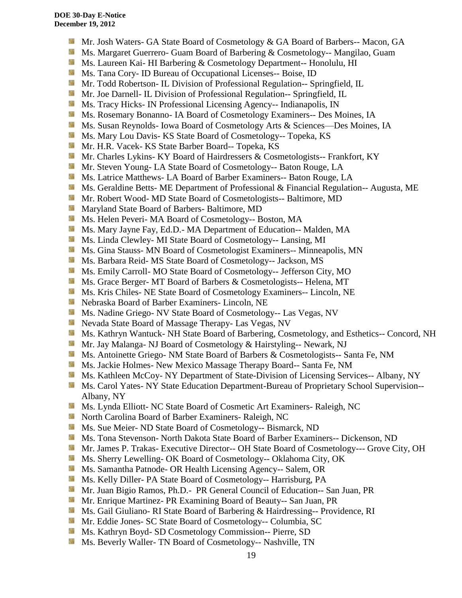- Mr. Josh Waters- GA State Board of Cosmetology & GA Board of Barbers-- Macon, GA
- Ms. Margaret Guerrero- Guam Board of Barbering & Cosmetology-- Mangilao, Guam
- **Ms. Laureen Kai- HI Barbering & Cosmetology Department-- Honolulu, HI**
- **Ms.** Tana Cory- ID Bureau of Occupational Licenses-- Boise, ID
- Mr. Todd Robertson- IL Division of Professional Regulation-- Springfield, IL
- **Mr. Joe Darnell- IL Division of Professional Regulation-- Springfield, IL**
- **Ms.** Tracy Hicks- IN Professional Licensing Agency-- Indianapolis, IN
- Ms. Rosemary Bonanno- IA Board of Cosmetology Examiners-- Des Moines, IA
- Side. Ms. Susan Reynolds- Iowa Board of Cosmetology Arts & Sciences—Des Moines, IA
- Ms. Mary Lou Davis- KS State Board of Cosmetology-- Topeka, KS
- **Mr. H.R. Vacek- KS State Barber Board-- Topeka, KS**
- 56 Mr. Charles Lykins- KY Board of Hairdressers & Cosmetologists-- Frankfort, KY
- **Mr. Steven Young- LA State Board of Cosmetology-- Baton Rouge, LA**
- **Ms. Latrice Matthews- LA Board of Barber Examiners-- Baton Rouge, LA**
- **Ms.** Geraldine Betts- ME Department of Professional & Financial Regulation-- Augusta, ME
- **Mr. Robert Wood- MD State Board of Cosmetologists-- Baltimore, MD**
- **Maryland State Board of Barbers- Baltimore, MD**
- Ms. Helen Peveri- MA Board of Cosmetology-- Boston, MA
- Ms. Mary Jayne Fay, Ed.D.- MA Department of Education-- Malden, MA
- Ms. Linda Clewley- MI State Board of Cosmetology-- Lansing, MI
- **Ms.** Gina Stauss- MN Board of Cosmetologist Examiners-- Minneapolis, MN
- Ms. Barbara Reid- MS State Board of Cosmetology-- Jackson, MS
- Ms. Emily Carroll- MO State Board of Cosmetology-- Jefferson City, MO
- **Ms.** Grace Berger- MT Board of Barbers & Cosmetologists-- Helena, MT
- **MS.** Kris Chiles- NE State Board of Cosmetology Examiners-- Lincoln, NE
- Nebraska Board of Barber Examiners- Lincoln, NE
- Ms. Nadine Griego- NV State Board of Cosmetology-- Las Vegas, NV
- **Nevada State Board of Massage Therapy- Las Vegas, NV**
- Ms. Kathryn Wantuck- NH State Board of Barbering, Cosmetology, and Esthetics-- Concord, NH
- Mr. Jay Malanga- NJ Board of Cosmetology & Hairstyling-- Newark, NJ
- **MS.** Antoinette Griego- NM State Board of Barbers & Cosmetologists-- Santa Fe, NM
- Ms. Jackie Holmes- New Mexico Massage Therapy Board-- Santa Fe, NM
- Ms. Kathleen McCoy- NY Department of State-Division of Licensing Services-- Albany, NY
- Ms. Carol Yates- NY State Education Department-Bureau of Proprietary School Supervision--Albany, NY
- Ms. Lynda Elliott- NC State Board of Cosmetic Art Examiners- Raleigh, NC
- **North Carolina Board of Barber Examiners- Raleigh, NC**
- **MS.** Sue Meier- ND State Board of Cosmetology-- Bismarck, ND
- Ms. Tona Stevenson- North Dakota State Board of Barber Examiners-- Dickenson, ND
- Mr. James P. Trakas- Executive Director-- OH State Board of Cosmetology--- Grove City, OH
- **Ms. Sherry Lewelling- OK Board of Cosmetology-- Oklahoma City, OK**
- Ms. Samantha Patnode- OR Health Licensing Agency-- Salem, OR
- **Ms. Kelly Diller-PA State Board of Cosmetology-- Harrisburg, PA**
- Mr. Juan Bigio Ramos, Ph.D.- PR General Council of Education-- San Juan, PR
- Mr. Enrique Martinez- PR Examining Board of Beauty-- San Juan, PR
- **Ms.** Gail Giuliano- RI State Board of Barbering & Hairdressing-- Providence, RI
- **Mr.** Eddie Jones- SC State Board of Cosmetology-- Columbia, SC
- **Ms. Kathryn Boyd- SD Cosmetology Commission-- Pierre, SD**
- Ms. Beverly Waller- TN Board of Cosmetology-- Nashville, TN